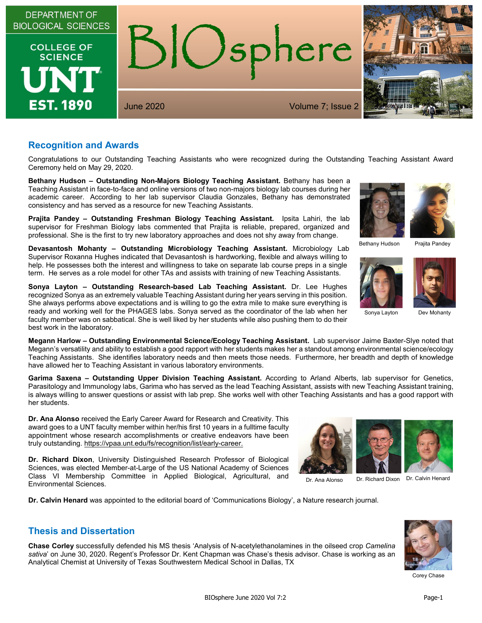

#### **Recognition and Awards**

Congratulations to our Outstanding Teaching Assistants who were recognized during the Outstanding Teaching Assistant Award Ceremony held on May 29, 2020.

**Bethany Hudson – Outstanding Non-Majors Biology Teaching Assistant.** Bethany has been a Teaching Assistant in face-to-face and online versions of two non-majors biology lab courses during her academic career. According to her lab supervisor Claudia Gonzales, Bethany has demonstrated consistency and has served as a resource for new Teaching Assistants.

**Prajita Pandey – Outstanding Freshman Biology Teaching Assistant.** Ipsita Lahiri, the lab supervisor for Freshman Biology labs commented that Prajita is reliable, prepared, organized and professional. She is the first to try new laboratory approaches and does not shy away from change.

**Devasantosh Mohanty – Outstanding Microbiology Teaching Assistant.** Microbiology Lab Supervisor Roxanna Hughes indicated that Devasantosh is hardworking, flexible and always willing to help. He possesses both the interest and willingness to take on separate lab course preps in a single term. He serves as a role model for other TAs and assists with training of new Teaching Assistants.

**Sonya Layton – Outstanding Research-based Lab Teaching Assistant.** Dr. Lee Hughes recognized Sonya as an extremely valuable Teaching Assistant during her years serving in this position. She always performs above expectations and is willing to go the extra mile to make sure everything is ready and working well for the PHAGES labs. Sonya served as the coordinator of the lab when her faculty member was on sabbatical. She is well liked by her students while also pushing them to do their best work in the laboratory.

**Megann Harlow – Outstanding Environmental Science/Ecology Teaching Assistant.** Lab supervisor Jaime Baxter-Slye noted that Megann's versatility and ability to establish a good rapport with her students makes her a standout among environmental science/ecology Teaching Assistants. She identifies laboratory needs and then meets those needs. Furthermore, her breadth and depth of knowledge have allowed her to Teaching Assistant in various laboratory environments.

**Garima Saxena – Outstanding Upper Division Teaching Assistant.** According to Arland Alberts, lab supervisor for Genetics, Parasitology and Immunology labs, Garima who has served as the lead Teaching Assistant, assists with new Teaching Assistant training, is always willing to answer questions or assist with lab prep. She works well with other Teaching Assistants and has a good rapport with her students.

**Dr. Ana Alonso** received the Early Career Award for Research and Creativity. This award goes to a UNT faculty member within her/his first 10 years in a fulltime faculty appointment whose research accomplishments or creative endeavors have been truly outstanding. [https://vpaa.unt.edu/fs/recognition/list/early-career.](https://vpaa.unt.edu/fs/recognition/list/early-career)

**Dr. Richard Dixon**, University Distinguished Research Professor of Biological Sciences, was elected Member-at-Large of the US National Academy of Sciences Class VI Membership Committee in Applied Biological, Agricultural, and Environmental Sciences.

**Dr. Calvin Henard** was appointed to the editorial board of 'Communications Biology', a Nature research journal.

#### **Thesis and Dissertation**

**Chase Corley** successfully defended his MS thesis 'Analysis of N-acetylethanolamines in the oilseed crop *Camelina sativa*' on June 30, 2020. Regent's Professor Dr. Kent Chapman was Chase's thesis advisor. Chase is working as an Analytical Chemist at University of Texas Southwestern Medical School in Dallas, TX





Bethany Hudson Prajita Pandey





Sonya Layton Dev Mohanty



Corey Chase



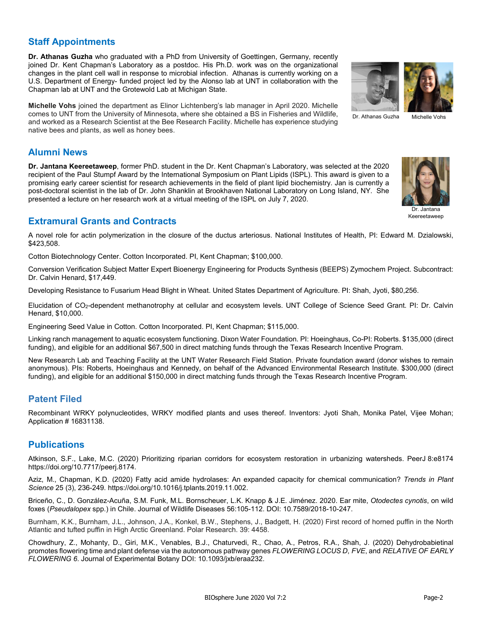# **Staff Appointments**

**Dr. Athanas Guzha** who graduated with a PhD from University of Goettingen, Germany, recently joined Dr. Kent Chapman's Laboratory as a postdoc. His Ph.D. work was on the organizational changes in the plant cell wall in response to microbial infection. Athanas is currently working on a U.S. Department of Energy- funded project led by the Alonso lab at UNT in collaboration with the Chapman lab at UNT and the Grotewold Lab at Michigan State.

**Michelle Vohs** joined the department as Elinor Lichtenberg's lab manager in April 2020. Michelle comes to UNT from the University of Minnesota, where she obtained a BS in Fisheries and Wildlife, and worked as a Research Scientist at the Bee Research Facility. Michelle has experience studying native bees and plants, as well as honey bees.

#### **Alumni News**

**Dr. Jantana Keereetaweep**, former PhD. student in the Dr. Kent Chapman's Laboratory, was selected at the 2020 recipient of the Paul Stumpf Award by the International Symposium on Plant Lipids (ISPL). This award is given to a promising early career scientist for research achievements in the field of plant lipid biochemistry. Jan is currently a post-doctoral scientist in the lab of Dr. John Shanklin at Brookhaven National Laboratory on Long Island, NY. She presented a lecture on her research work at a virtual meeting of the ISPL on July 7, 2020.

## **Extramural Grants and Contracts**

A novel role for actin polymerization in the closure of the ductus arteriosus. National Institutes of Health, PI: Edward M. Dzialowski, \$423,508.

Cotton Biotechnology Center. Cotton Incorporated. PI, Kent Chapman; \$100,000.

Conversion Verification Subject Matter Expert Bioenergy Engineering for Products Synthesis (BEEPS) Zymochem Project. Subcontract: Dr. Calvin Henard, \$17,449.

Developing Resistance to Fusarium Head Blight in Wheat. United States Department of Agriculture. PI: Shah, Jyoti, \$80,256.

Elucidation of CO2-dependent methanotrophy at cellular and ecosystem levels. UNT College of Science Seed Grant. PI: Dr. Calvin Henard, \$10,000.

Engineering Seed Value in Cotton. Cotton Incorporated. PI, Kent Chapman; \$115,000.

Linking ranch management to aquatic ecosystem functioning. Dixon Water Foundation. PI: Hoeinghaus, Co-PI: Roberts. \$135,000 (direct funding), and eligible for an additional \$67,500 in direct matching funds through the Texas Research Incentive Program.

New Research Lab and Teaching Facility at the UNT Water Research Field Station. Private foundation award (donor wishes to remain anonymous). PIs: Roberts, Hoeinghaus and Kennedy, on behalf of the Advanced Environmental Research Institute. \$300,000 (direct funding), and eligible for an additional \$150,000 in direct matching funds through the Texas Research Incentive Program.

# **Patent Filed**

Recombinant WRKY polynucleotides, WRKY modified plants and uses thereof. Inventors: Jyoti Shah, Monika Patel, Vijee Mohan; Application # 16831138.

### **Publications**

Atkinson, S.F., Lake, M.C. (2020) Prioritizing riparian corridors for ecosystem restoration in urbanizing watersheds. PeerJ 8:e8174 https://doi.org/10.7717/peerj.8174.

Aziz, M., Chapman, K.D. (2020) Fatty acid amide hydrolases: An expanded capacity for chemical communication? *Trends in Plant Science* 25 (3), 236-249. https://doi.org/10.1016/j.tplants.2019.11.002.

Briceño, C., D. González-Acuña, S.M. Funk, M.L. Bornscheuer, L.K. Knapp & J.E. Jiménez. 2020. Ear mite, *Otodectes cynotis*, on wild foxes (*Pseudalopex* spp.) in Chile. Journal of Wildlife Diseases 56:105-112. DOI: 10.7589/2018-10-247.

Burnham, K.K., Burnham, J.L., Johnson, J.A., Konkel, B.W., Stephens, J., Badgett, H. (2020) First record of horned puffin in the North Atlantic and tufted puffin in High Arctic Greenland. Polar Research. 39: 4458.

Chowdhury, Z., Mohanty, D., Giri, M.K., Venables, B.J., Chaturvedi, R., Chao, A., Petros, R.A., Shah, J. (2020) Dehydrobabietinal promotes flowering time and plant defense via the autonomous pathway genes *FLOWERING LOCUS D*, *FVE*, and *RELATIVE OF EARLY FLOWERING 6*. Journal of Experimental Botany DOI: 10.1093/jxb/eraa232.



Dr. Athanas Guzha Michelle Vohs

Dr. Jantana Keereetaweep